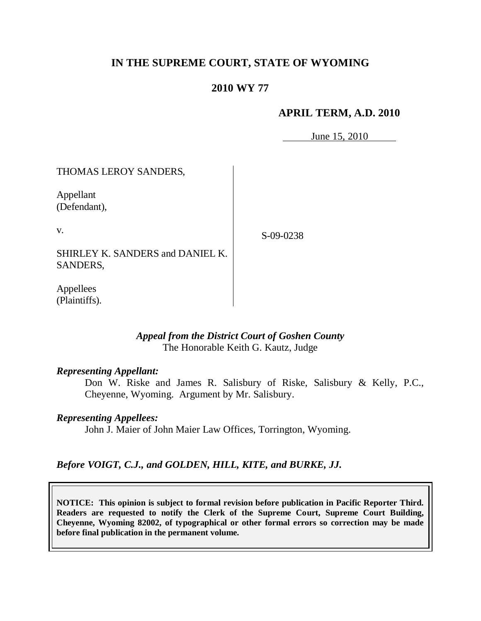# **IN THE SUPREME COURT, STATE OF WYOMING**

# **2010 WY 77**

## **APRIL TERM, A.D. 2010**

June 15, 2010

# THOMAS LEROY SANDERS, Appellant (Defendant),

v.

S-09-0238

SHIRLEY K. SANDERS and DANIEL K. SANDERS,

Appellees (Plaintiffs).

## *Appeal from the District Court of Goshen County* The Honorable Keith G. Kautz, Judge

## *Representing Appellant:*

Don W. Riske and James R. Salisbury of Riske, Salisbury & Kelly, P.C., Cheyenne, Wyoming. Argument by Mr. Salisbury.

## *Representing Appellees:*

John J. Maier of John Maier Law Offices, Torrington, Wyoming.

# *Before VOIGT, C.J., and GOLDEN, HILL, KITE, and BURKE, JJ.*

**NOTICE: This opinion is subject to formal revision before publication in Pacific Reporter Third. Readers are requested to notify the Clerk of the Supreme Court, Supreme Court Building, Cheyenne, Wyoming 82002, of typographical or other formal errors so correction may be made before final publication in the permanent volume.**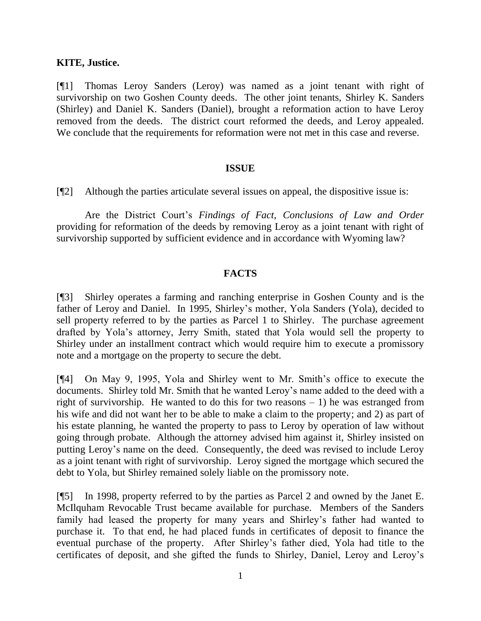## **KITE, Justice.**

[¶1] Thomas Leroy Sanders (Leroy) was named as a joint tenant with right of survivorship on two Goshen County deeds. The other joint tenants, Shirley K. Sanders (Shirley) and Daniel K. Sanders (Daniel), brought a reformation action to have Leroy removed from the deeds. The district court reformed the deeds, and Leroy appealed. We conclude that the requirements for reformation were not met in this case and reverse.

#### **ISSUE**

[¶2] Although the parties articulate several issues on appeal, the dispositive issue is:

Are the District Court"s *Findings of Fact, Conclusions of Law and Order* providing for reformation of the deeds by removing Leroy as a joint tenant with right of survivorship supported by sufficient evidence and in accordance with Wyoming law?

## **FACTS**

[¶3] Shirley operates a farming and ranching enterprise in Goshen County and is the father of Leroy and Daniel. In 1995, Shirley"s mother, Yola Sanders (Yola), decided to sell property referred to by the parties as Parcel 1 to Shirley. The purchase agreement drafted by Yola"s attorney, Jerry Smith, stated that Yola would sell the property to Shirley under an installment contract which would require him to execute a promissory note and a mortgage on the property to secure the debt.

[¶4] On May 9, 1995, Yola and Shirley went to Mr. Smith"s office to execute the documents. Shirley told Mr. Smith that he wanted Leroy"s name added to the deed with a right of survivorship. He wanted to do this for two reasons  $-1$ ) he was estranged from his wife and did not want her to be able to make a claim to the property; and 2) as part of his estate planning, he wanted the property to pass to Leroy by operation of law without going through probate. Although the attorney advised him against it, Shirley insisted on putting Leroy"s name on the deed. Consequently, the deed was revised to include Leroy as a joint tenant with right of survivorship. Leroy signed the mortgage which secured the debt to Yola, but Shirley remained solely liable on the promissory note.

[¶5] In 1998, property referred to by the parties as Parcel 2 and owned by the Janet E. McIlquham Revocable Trust became available for purchase. Members of the Sanders family had leased the property for many years and Shirley"s father had wanted to purchase it. To that end, he had placed funds in certificates of deposit to finance the eventual purchase of the property. After Shirley"s father died, Yola had title to the certificates of deposit, and she gifted the funds to Shirley, Daniel, Leroy and Leroy"s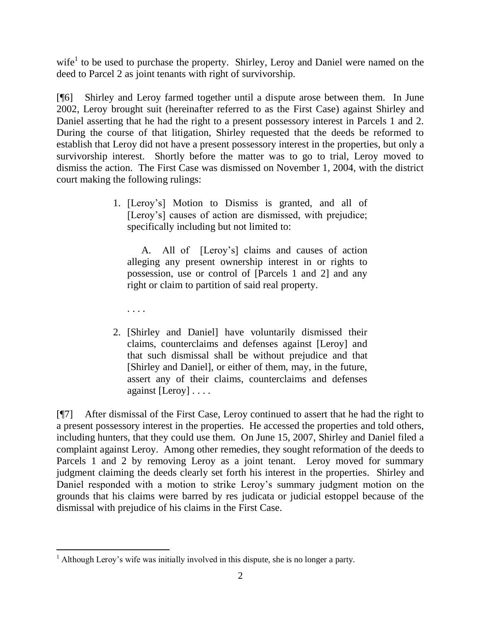wife<sup>1</sup> to be used to purchase the property. Shirley, Leroy and Daniel were named on the deed to Parcel 2 as joint tenants with right of survivorship.

[¶6] Shirley and Leroy farmed together until a dispute arose between them. In June 2002, Leroy brought suit (hereinafter referred to as the First Case) against Shirley and Daniel asserting that he had the right to a present possessory interest in Parcels 1 and 2. During the course of that litigation, Shirley requested that the deeds be reformed to establish that Leroy did not have a present possessory interest in the properties, but only a survivorship interest. Shortly before the matter was to go to trial, Leroy moved to dismiss the action. The First Case was dismissed on November 1, 2004, with the district court making the following rulings:

> 1. [Leroy"s] Motion to Dismiss is granted, and all of [Leroy's] causes of action are dismissed, with prejudice; specifically including but not limited to:

A. All of [Leroy"s] claims and causes of action alleging any present ownership interest in or rights to possession, use or control of [Parcels 1 and 2] and any right or claim to partition of said real property.

. . . .

2. [Shirley and Daniel] have voluntarily dismissed their claims, counterclaims and defenses against [Leroy] and that such dismissal shall be without prejudice and that [Shirley and Daniel], or either of them, may, in the future, assert any of their claims, counterclaims and defenses against [Leroy] . . . .

[¶7] After dismissal of the First Case, Leroy continued to assert that he had the right to a present possessory interest in the properties. He accessed the properties and told others, including hunters, that they could use them. On June 15, 2007, Shirley and Daniel filed a complaint against Leroy. Among other remedies, they sought reformation of the deeds to Parcels 1 and 2 by removing Leroy as a joint tenant. Leroy moved for summary judgment claiming the deeds clearly set forth his interest in the properties. Shirley and Daniel responded with a motion to strike Leroy"s summary judgment motion on the grounds that his claims were barred by res judicata or judicial estoppel because of the dismissal with prejudice of his claims in the First Case.

 $\overline{a}$  $<sup>1</sup>$  Although Leroy's wife was initially involved in this dispute, she is no longer a party.</sup>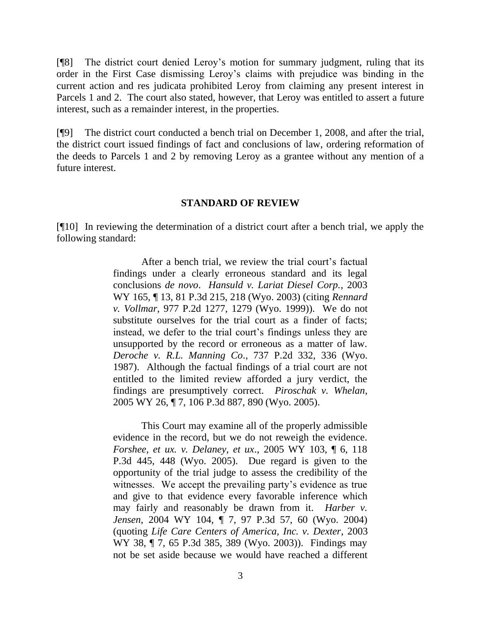[¶8] The district court denied Leroy"s motion for summary judgment, ruling that its order in the First Case dismissing Leroy"s claims with prejudice was binding in the current action and res judicata prohibited Leroy from claiming any present interest in Parcels 1 and 2. The court also stated, however, that Leroy was entitled to assert a future interest, such as a remainder interest, in the properties.

[¶9] The district court conducted a bench trial on December 1, 2008, and after the trial, the district court issued findings of fact and conclusions of law, ordering reformation of the deeds to Parcels 1 and 2 by removing Leroy as a grantee without any mention of a future interest.

#### **STANDARD OF REVIEW**

[¶10] In reviewing the determination of a district court after a bench trial, we apply the following standard:

> After a bench trial, we review the trial court's factual findings under a clearly erroneous standard and its legal conclusions *de novo*. *Hansuld v. Lariat Diesel Corp.*, 2003 WY 165, ¶ 13, 81 P.3d 215, 218 (Wyo. 2003) (citing *Rennard v. Vollmar*, 977 P.2d 1277, 1279 (Wyo. 1999)). We do not substitute ourselves for the trial court as a finder of facts; instead, we defer to the trial court's findings unless they are unsupported by the record or erroneous as a matter of law. *Deroche v. R.L. Manning Co*., 737 P.2d 332, 336 (Wyo. 1987). Although the factual findings of a trial court are not entitled to the limited review afforded a jury verdict, the findings are presumptively correct. *Piroschak v. Whelan*, 2005 WY 26, ¶ 7, 106 P.3d 887, 890 (Wyo. 2005).

> This Court may examine all of the properly admissible evidence in the record, but we do not reweigh the evidence. *Forshee, et ux. v. Delaney, et ux*., 2005 WY 103, ¶ 6, 118 P.3d 445, 448 (Wyo. 2005). Due regard is given to the opportunity of the trial judge to assess the credibility of the witnesses. We accept the prevailing party's evidence as true and give to that evidence every favorable inference which may fairly and reasonably be drawn from it. *Harber v. Jensen*, 2004 WY 104, ¶ 7, 97 P.3d 57, 60 (Wyo. 2004) (quoting *Life Care Centers of America, Inc. v. Dexter*, 2003 WY 38, ¶ 7, 65 P.3d 385, 389 (Wyo. 2003)). Findings may not be set aside because we would have reached a different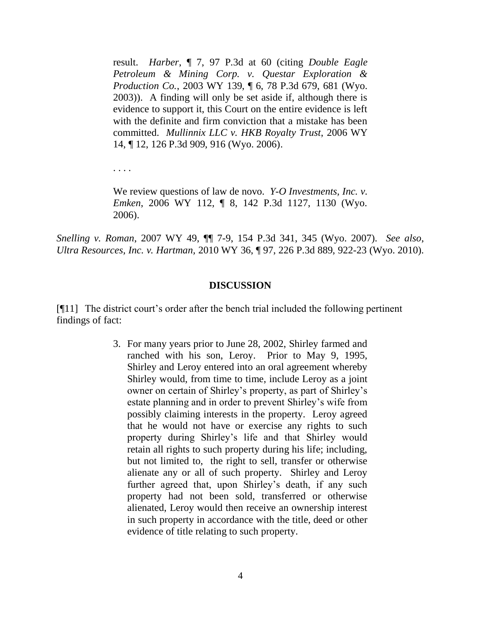result. *Harber*, ¶ 7, 97 P.3d at 60 (citing *Double Eagle Petroleum & Mining Corp. v. Questar Exploration & Production Co.*, 2003 WY 139, ¶ 6, 78 P.3d 679, 681 (Wyo. 2003)). A finding will only be set aside if, although there is evidence to support it, this Court on the entire evidence is left with the definite and firm conviction that a mistake has been committed. *Mullinnix LLC v. HKB Royalty Trust*, 2006 WY 14, ¶ 12, 126 P.3d 909, 916 (Wyo. 2006).

. . . .

We review questions of law de novo. *Y-O Investments, Inc. v. Emken*, 2006 WY 112, ¶ 8, 142 P.3d 1127, 1130 (Wyo. 2006).

*Snelling v. Roman*, 2007 WY 49, ¶¶ 7-9, 154 P.3d 341, 345 (Wyo. 2007). *See also*, *Ultra Resources, Inc. v. Hartman,* 2010 WY 36, ¶ 97, 226 P.3d 889, 922-23 (Wyo. 2010).

#### **DISCUSSION**

[¶11] The district court"s order after the bench trial included the following pertinent findings of fact:

> 3. For many years prior to June 28, 2002, Shirley farmed and ranched with his son, Leroy. Prior to May 9, 1995, Shirley and Leroy entered into an oral agreement whereby Shirley would, from time to time, include Leroy as a joint owner on certain of Shirley"s property, as part of Shirley"s estate planning and in order to prevent Shirley"s wife from possibly claiming interests in the property. Leroy agreed that he would not have or exercise any rights to such property during Shirley"s life and that Shirley would retain all rights to such property during his life; including, but not limited to, the right to sell, transfer or otherwise alienate any or all of such property. Shirley and Leroy further agreed that, upon Shirley's death, if any such property had not been sold, transferred or otherwise alienated, Leroy would then receive an ownership interest in such property in accordance with the title, deed or other evidence of title relating to such property.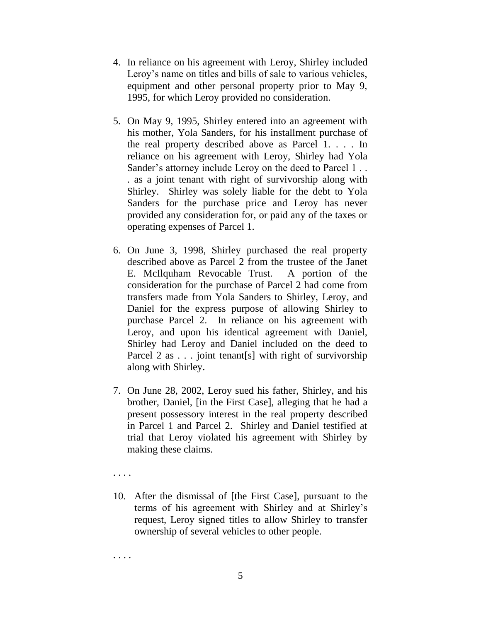- 4. In reliance on his agreement with Leroy, Shirley included Leroy's name on titles and bills of sale to various vehicles, equipment and other personal property prior to May 9, 1995, for which Leroy provided no consideration.
- 5. On May 9, 1995, Shirley entered into an agreement with his mother, Yola Sanders, for his installment purchase of the real property described above as Parcel 1. . . . In reliance on his agreement with Leroy, Shirley had Yola Sander's attorney include Leroy on the deed to Parcel 1... . as a joint tenant with right of survivorship along with Shirley. Shirley was solely liable for the debt to Yola Sanders for the purchase price and Leroy has never provided any consideration for, or paid any of the taxes or operating expenses of Parcel 1.
- 6. On June 3, 1998, Shirley purchased the real property described above as Parcel 2 from the trustee of the Janet E. McIlquham Revocable Trust. A portion of the consideration for the purchase of Parcel 2 had come from transfers made from Yola Sanders to Shirley, Leroy, and Daniel for the express purpose of allowing Shirley to purchase Parcel 2. In reliance on his agreement with Leroy, and upon his identical agreement with Daniel, Shirley had Leroy and Daniel included on the deed to Parcel 2 as . . . joint tenant[s] with right of survivorship along with Shirley.
- 7. On June 28, 2002, Leroy sued his father, Shirley, and his brother, Daniel, [in the First Case], alleging that he had a present possessory interest in the real property described in Parcel 1 and Parcel 2. Shirley and Daniel testified at trial that Leroy violated his agreement with Shirley by making these claims.
- . . . .
- 10. After the dismissal of [the First Case], pursuant to the terms of his agreement with Shirley and at Shirley"s request, Leroy signed titles to allow Shirley to transfer ownership of several vehicles to other people.

. . . .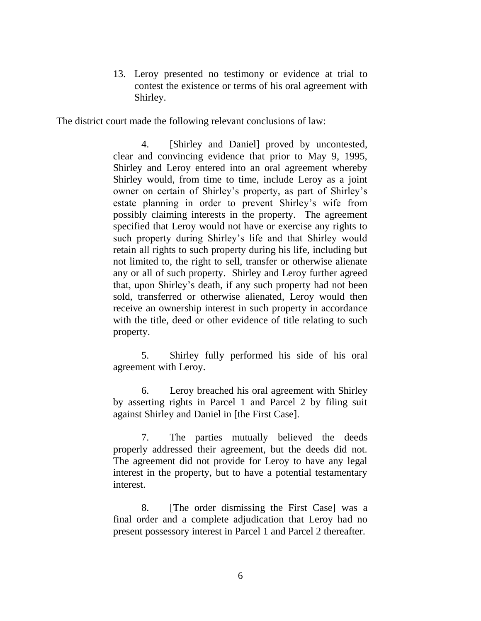13. Leroy presented no testimony or evidence at trial to contest the existence or terms of his oral agreement with Shirley.

The district court made the following relevant conclusions of law:

4. [Shirley and Daniel] proved by uncontested, clear and convincing evidence that prior to May 9, 1995, Shirley and Leroy entered into an oral agreement whereby Shirley would, from time to time, include Leroy as a joint owner on certain of Shirley"s property, as part of Shirley"s estate planning in order to prevent Shirley"s wife from possibly claiming interests in the property. The agreement specified that Leroy would not have or exercise any rights to such property during Shirley"s life and that Shirley would retain all rights to such property during his life, including but not limited to, the right to sell, transfer or otherwise alienate any or all of such property. Shirley and Leroy further agreed that, upon Shirley"s death, if any such property had not been sold, transferred or otherwise alienated, Leroy would then receive an ownership interest in such property in accordance with the title, deed or other evidence of title relating to such property.

5. Shirley fully performed his side of his oral agreement with Leroy.

6. Leroy breached his oral agreement with Shirley by asserting rights in Parcel 1 and Parcel 2 by filing suit against Shirley and Daniel in [the First Case].

7. The parties mutually believed the deeds properly addressed their agreement, but the deeds did not. The agreement did not provide for Leroy to have any legal interest in the property, but to have a potential testamentary interest.

8. [The order dismissing the First Case] was a final order and a complete adjudication that Leroy had no present possessory interest in Parcel 1 and Parcel 2 thereafter.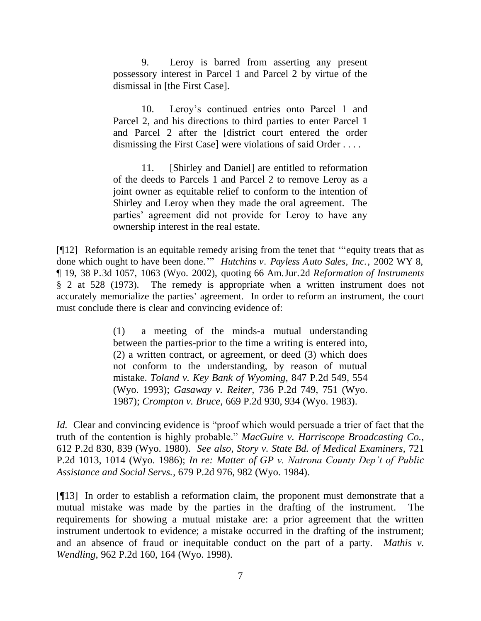9. Leroy is barred from asserting any present possessory interest in Parcel 1 and Parcel 2 by virtue of the dismissal in [the First Case].

10. Leroy"s continued entries onto Parcel 1 and Parcel 2, and his directions to third parties to enter Parcel 1 and Parcel 2 after the [district court entered the order dismissing the First Case] were violations of said Order . . . .

11. [Shirley and Daniel] are entitled to reformation of the deeds to Parcels 1 and Parcel 2 to remove Leroy as a joint owner as equitable relief to conform to the intention of Shirley and Leroy when they made the oral agreement. The parties' agreement did not provide for Leroy to have any ownership interest in the real estate.

[¶12] Reformation is an equitable remedy arising from the tenet that ""equity treats that as done which ought to have been done."" *Hutchins v. Payless Auto Sales, Inc.,* 2002 WY 8, ¶ 19, 38 P.3d 1057, 1063 (Wyo. 2002), quoting 66 Am.Jur.2d *Reformation of Instruments*  § 2 at 528 (1973). The remedy is appropriate when a written instrument does not accurately memorialize the parties' agreement. In order to reform an instrument, the court must conclude there is clear and convincing evidence of:

> (1) a meeting of the minds-a mutual understanding between the parties-prior to the time a writing is entered into, (2) a written contract, or agreement, or deed (3) which does not conform to the understanding, by reason of mutual mistake. *[Toland v. Key Bank of Wyoming,](http://www.westlaw.com/Find/Default.wl?rs=dfa1.0&vr=2.0&DB=661&FindType=Y&ReferencePositionType=S&SerialNum=1993054074&ReferencePosition=554)* [847 P.2d 549, 554](http://www.westlaw.com/Find/Default.wl?rs=dfa1.0&vr=2.0&DB=661&FindType=Y&ReferencePositionType=S&SerialNum=1993054074&ReferencePosition=554)  (Wyo. 1993); *Gasaway v. Reiter,* [736 P.2d 749, 751 \(Wyo.](http://www.westlaw.com/Find/Default.wl?rs=dfa1.0&vr=2.0&DB=661&FindType=Y&ReferencePositionType=S&SerialNum=1987060707&ReferencePosition=751) [1987\);](http://www.westlaw.com/Find/Default.wl?rs=dfa1.0&vr=2.0&DB=661&FindType=Y&ReferencePositionType=S&SerialNum=1987060707&ReferencePosition=751) *[Crompton v. Bruce,](http://www.westlaw.com/Find/Default.wl?rs=dfa1.0&vr=2.0&DB=661&FindType=Y&ReferencePositionType=S&SerialNum=1983143965&ReferencePosition=934)* [669 P.2d 930, 934 \(Wyo.](http://www.westlaw.com/Find/Default.wl?rs=dfa1.0&vr=2.0&DB=661&FindType=Y&ReferencePositionType=S&SerialNum=1983143965&ReferencePosition=934) 1983).

*Id.* Clear and convincing evidence is "proof which would persuade a trier of fact that the truth of the contention is highly probable." *[MacGuire v. Harriscope Broadcasting Co.,](http://www.westlaw.com/Find/Default.wl?rs=dfa1.0&vr=2.0&DB=661&FindType=Y&ReferencePositionType=S&SerialNum=1980120924&ReferencePosition=839)* 612 P.2d 830, 839 (Wyo. 1980). *See also, [Story v. State Bd. of Medical Examiners,](http://www.westlaw.com/Find/Default.wl?rs=dfa1.0&vr=2.0&DB=661&FindType=Y&ReferencePositionType=S&SerialNum=1986132298&ReferencePosition=1014)* [721](http://www.westlaw.com/Find/Default.wl?rs=dfa1.0&vr=2.0&DB=661&FindType=Y&ReferencePositionType=S&SerialNum=1986132298&ReferencePosition=1014)  P.2d 1013, 1014 (Wyo. 1986); *In re: Matter of GP [v. Natrona County Dep't of Public](http://www.westlaw.com/Find/Default.wl?rs=dfa1.0&vr=2.0&DB=661&FindType=Y&ReferencePositionType=S&SerialNum=1984114758&ReferencePosition=982)  [Assistance and Social Servs.,](http://www.westlaw.com/Find/Default.wl?rs=dfa1.0&vr=2.0&DB=661&FindType=Y&ReferencePositionType=S&SerialNum=1984114758&ReferencePosition=982)* [679 P.2d 976, 982 \(Wyo.](http://www.westlaw.com/Find/Default.wl?rs=dfa1.0&vr=2.0&DB=661&FindType=Y&ReferencePositionType=S&SerialNum=1984114758&ReferencePosition=982) 1984).

[¶13] In order to establish a reformation claim, the proponent must demonstrate that a mutual mistake was made by the parties in the drafting of the instrument. The requirements for showing a mutual mistake are: a prior agreement that the written instrument undertook to evidence; a mistake occurred in the drafting of the instrument; and an absence of fraud or inequitable conduct on the part of a party. *Mathis v. Wendling,* 962 P.2d 160, 164 (Wyo. 1998).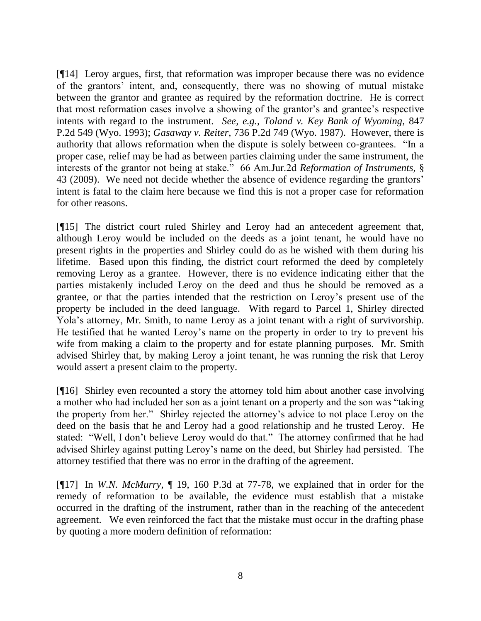[¶14] Leroy argues, first, that reformation was improper because there was no evidence of the grantors" intent, and, consequently, there was no showing of mutual mistake between the grantor and grantee as required by the reformation doctrine. He is correct that most reformation cases involve a showing of the grantor"s and grantee"s respective intents with regard to the instrument. *See, e.g., Toland v. Key Bank of Wyoming*, 847 P.2d 549 (Wyo. 1993); *Gasaway v. Reiter,* 736 P.2d 749 (Wyo. 1987). However, there is authority that allows reformation when the dispute is solely between co-grantees. "In a proper case, relief may be had as between parties claiming under the same instrument, the interests of the grantor not being at stake." 66 Am.Jur.2d *Reformation of Instruments,* § 43 (2009). We need not decide whether the absence of evidence regarding the grantors" intent is fatal to the claim here because we find this is not a proper case for reformation for other reasons.

[¶15] The district court ruled Shirley and Leroy had an antecedent agreement that, although Leroy would be included on the deeds as a joint tenant, he would have no present rights in the properties and Shirley could do as he wished with them during his lifetime. Based upon this finding, the district court reformed the deed by completely removing Leroy as a grantee. However, there is no evidence indicating either that the parties mistakenly included Leroy on the deed and thus he should be removed as a grantee, or that the parties intended that the restriction on Leroy"s present use of the property be included in the deed language. With regard to Parcel 1, Shirley directed Yola"s attorney, Mr. Smith, to name Leroy as a joint tenant with a right of survivorship. He testified that he wanted Leroy"s name on the property in order to try to prevent his wife from making a claim to the property and for estate planning purposes. Mr. Smith advised Shirley that, by making Leroy a joint tenant, he was running the risk that Leroy would assert a present claim to the property.

[¶16] Shirley even recounted a story the attorney told him about another case involving a mother who had included her son as a joint tenant on a property and the son was "taking the property from her." Shirley rejected the attorney"s advice to not place Leroy on the deed on the basis that he and Leroy had a good relationship and he trusted Leroy. He stated: "Well, I don"t believe Leroy would do that." The attorney confirmed that he had advised Shirley against putting Leroy"s name on the deed, but Shirley had persisted. The attorney testified that there was no error in the drafting of the agreement.

[¶17] In *W.N. McMurry,* ¶ 19, 160 P.3d at 77-78, we explained that in order for the remedy of reformation to be available, the evidence must establish that a mistake occurred in the drafting of the instrument, rather than in the reaching of the antecedent agreement. We even reinforced the fact that the mistake must occur in the drafting phase by quoting a more modern definition of reformation: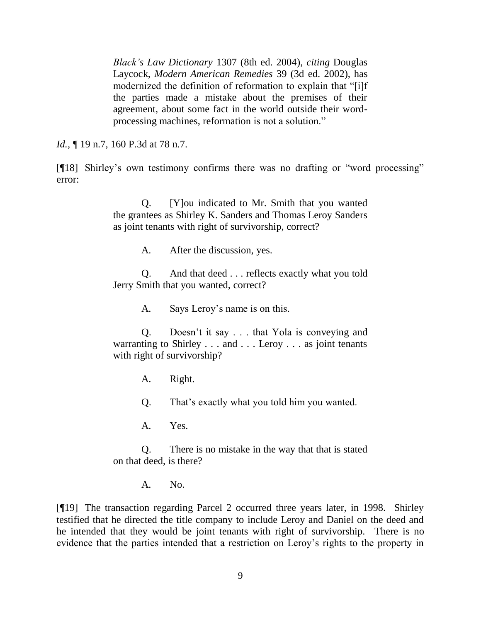*Black's Law Dictionary* 1307 (8th ed. 2004), *citing* Douglas Laycock, *Modern American Remedies* 39 (3d ed. 2002), has modernized the definition of reformation to explain that "[i]f the parties made a mistake about the premises of their agreement, about some fact in the world outside their wordprocessing machines, reformation is not a solution."

*Id.*, **[** 19 n.7, 160 P.3d at 78 n.7.

[¶18] Shirley"s own testimony confirms there was no drafting or "word processing" error:

> Q. [Y]ou indicated to Mr. Smith that you wanted the grantees as Shirley K. Sanders and Thomas Leroy Sanders as joint tenants with right of survivorship, correct?

> > A. After the discussion, yes.

Q. And that deed . . . reflects exactly what you told Jerry Smith that you wanted, correct?

A. Says Leroy"s name is on this.

Q. Doesn"t it say . . . that Yola is conveying and warranting to Shirley . . . and . . . Leroy . . . as joint tenants with right of survivorship?

A. Right.

Q. That"s exactly what you told him you wanted.

A. Yes.

Q. There is no mistake in the way that that is stated on that deed, is there?

A. No.

[¶19] The transaction regarding Parcel 2 occurred three years later, in 1998. Shirley testified that he directed the title company to include Leroy and Daniel on the deed and he intended that they would be joint tenants with right of survivorship. There is no evidence that the parties intended that a restriction on Leroy"s rights to the property in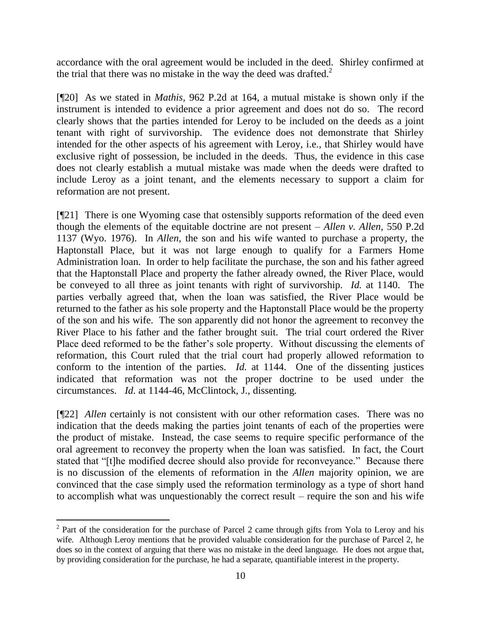accordance with the oral agreement would be included in the deed. Shirley confirmed at the trial that there was no mistake in the way the deed was drafted. $2$ 

[¶20] As we stated in *Mathis,* 962 P.2d at 164, a mutual mistake is shown only if the instrument is intended to evidence a prior agreement and does not do so. The record clearly shows that the parties intended for Leroy to be included on the deeds as a joint tenant with right of survivorship. The evidence does not demonstrate that Shirley intended for the other aspects of his agreement with Leroy, i.e., that Shirley would have exclusive right of possession, be included in the deeds. Thus, the evidence in this case does not clearly establish a mutual mistake was made when the deeds were drafted to include Leroy as a joint tenant, and the elements necessary to support a claim for reformation are not present.

[¶21] There is one Wyoming case that ostensibly supports reformation of the deed even though the elements of the equitable doctrine are not present – *Allen v. Allen,* 550 P.2d 1137 (Wyo. 1976). In *Allen,* the son and his wife wanted to purchase a property, the Haptonstall Place, but it was not large enough to qualify for a Farmers Home Administration loan. In order to help facilitate the purchase, the son and his father agreed that the Haptonstall Place and property the father already owned, the River Place, would be conveyed to all three as joint tenants with right of survivorship. *Id.* at 1140. The parties verbally agreed that, when the loan was satisfied, the River Place would be returned to the father as his sole property and the Haptonstall Place would be the property of the son and his wife. The son apparently did not honor the agreement to reconvey the River Place to his father and the father brought suit. The trial court ordered the River Place deed reformed to be the father's sole property. Without discussing the elements of reformation, this Court ruled that the trial court had properly allowed reformation to conform to the intention of the parties. *Id.* at 1144. One of the dissenting justices indicated that reformation was not the proper doctrine to be used under the circumstances. *Id.* at 1144-46, McClintock, J., dissenting.

[¶22] *Allen* certainly is not consistent with our other reformation cases. There was no indication that the deeds making the parties joint tenants of each of the properties were the product of mistake. Instead, the case seems to require specific performance of the oral agreement to reconvey the property when the loan was satisfied. In fact, the Court stated that "[t]he modified decree should also provide for reconveyance." Because there is no discussion of the elements of reformation in the *Allen* majority opinion, we are convinced that the case simply used the reformation terminology as a type of short hand to accomplish what was unquestionably the correct result – require the son and his wife

 $\overline{a}$ 

 $2^2$  Part of the consideration for the purchase of Parcel 2 came through gifts from Yola to Leroy and his wife. Although Leroy mentions that he provided valuable consideration for the purchase of Parcel 2, he does so in the context of arguing that there was no mistake in the deed language. He does not argue that, by providing consideration for the purchase, he had a separate, quantifiable interest in the property.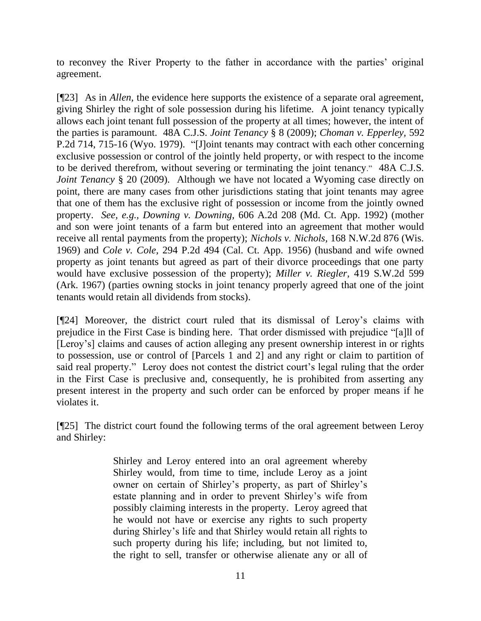to reconvey the River Property to the father in accordance with the parties" original agreement.

[¶23] As in *Allen,* the evidence here supports the existence of a separate oral agreement, giving Shirley the right of sole possession during his lifetime. A joint tenancy typically allows each joint tenant full possession of the property at all times; however, the intent of the parties is paramount. 48A C.J.S. *Joint Tenancy* § 8 (2009); *Choman v. Epperley,* 592 P.2d 714, 715-16 (Wyo. 1979). "[J]oint tenants may contract with each other concerning exclusive possession or control of the jointly held property, or with respect to the income to be derived therefrom, without severing or terminating the joint tenancy." 48A C.J.S. *Joint Tenancy* § 20 (2009). Although we have not located a Wyoming case directly on point, there are many cases from other jurisdictions stating that joint tenants may agree that one of them has the exclusive right of possession or income from the jointly owned property. *See, e.g., Downing v. Downing,* 606 A.2d 208 (Md. Ct. App. 1992) (mother and son were joint tenants of a farm but entered into an agreement that mother would receive all rental payments from the property); *Nichols v. Nichols,* 168 N.W.2d 876 (Wis. 1969) and *Cole v. Cole,* 294 P.2d 494 (Cal. Ct. App. 1956) (husband and wife owned property as joint tenants but agreed as part of their divorce proceedings that one party would have exclusive possession of the property); *Miller v. Riegler,* 419 S.W.2d 599 (Ark. 1967) (parties owning stocks in joint tenancy properly agreed that one of the joint tenants would retain all dividends from stocks).

[¶24] Moreover, the district court ruled that its dismissal of Leroy"s claims with prejudice in the First Case is binding here. That order dismissed with prejudice "[a]ll of [Leroy's] claims and causes of action alleging any present ownership interest in or rights to possession, use or control of [Parcels 1 and 2] and any right or claim to partition of said real property." Leroy does not contest the district court's legal ruling that the order in the First Case is preclusive and, consequently, he is prohibited from asserting any present interest in the property and such order can be enforced by proper means if he violates it.

[¶25] The district court found the following terms of the oral agreement between Leroy and Shirley:

> Shirley and Leroy entered into an oral agreement whereby Shirley would, from time to time, include Leroy as a joint owner on certain of Shirley"s property, as part of Shirley"s estate planning and in order to prevent Shirley"s wife from possibly claiming interests in the property. Leroy agreed that he would not have or exercise any rights to such property during Shirley"s life and that Shirley would retain all rights to such property during his life; including, but not limited to, the right to sell, transfer or otherwise alienate any or all of